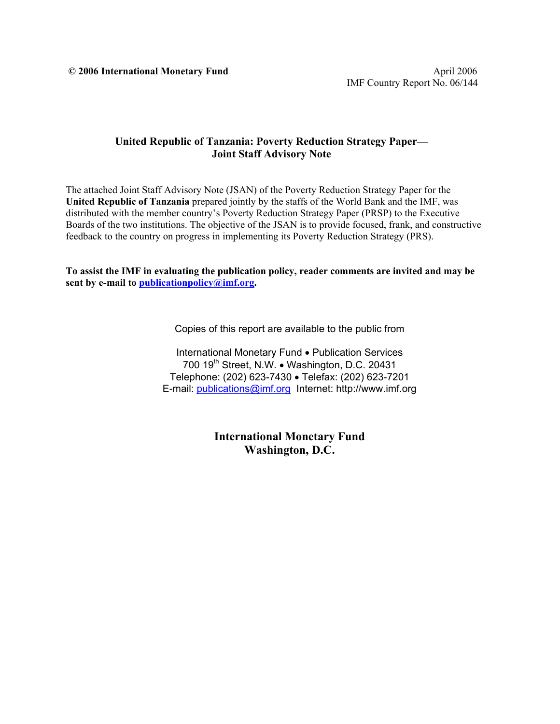$\degree$  **2006 International Monetary Fund**  April 2006

## **United Republic of Tanzania: Poverty Reduction Strategy Paper— Joint Staff Advisory Note**

The attached Joint Staff Advisory Note (JSAN) of the Poverty Reduction Strategy Paper for the **United Republic of Tanzania** prepared jointly by the staffs of the World Bank and the IMF, was distributed with the member country's Poverty Reduction Strategy Paper (PRSP) to the Executive Boards of the two institutions. The objective of the JSAN is to provide focused, frank, and constructive feedback to the country on progress in implementing its Poverty Reduction Strategy (PRS).

**To assist the IMF in evaluating the publication policy, reader comments are invited and may be sent by e-mail to publicationpolicy@imf.org.** 

Copies of this report are available to the public from

International Monetary Fund • Publication Services 700 19<sup>th</sup> Street, N.W. • Washington, D.C. 20431 Telephone: (202) 623-7430 • Telefax: (202) 623-7201 E-mail: publications@imf.org Internet: http://www.imf.org

> **International Monetary Fund Washington, D.C.**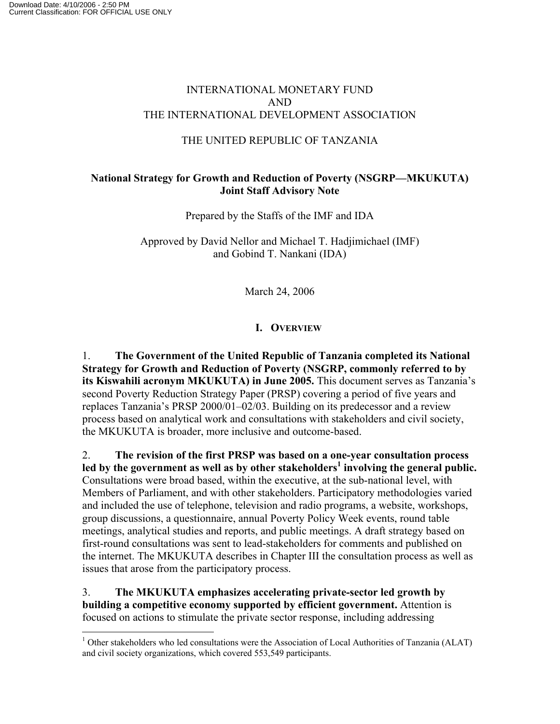## INTERNATIONAL MONETARY FUND AND THE INTERNATIONAL DEVELOPMENT ASSOCIATION

## THE UNITED REPUBLIC OF TANZANIA

# **National Strategy for Growth and Reduction of Poverty (NSGRP—MKUKUTA) Joint Staff Advisory Note**

Prepared by the Staffs of the IMF and IDA

Approved by David Nellor and Michael T. Hadjimichael (IMF) and Gobind T. Nankani (IDA)

March 24, 2006

# **I. OVERVIEW**

1. **The Government of the United Republic of Tanzania completed its National Strategy for Growth and Reduction of Poverty (NSGRP, commonly referred to by its Kiswahili acronym MKUKUTA) in June 2005.** This document serves as Tanzania's second Poverty Reduction Strategy Paper (PRSP) covering a period of five years and replaces Tanzania's PRSP 2000/01–02/03. Building on its predecessor and a review process based on analytical work and consultations with stakeholders and civil society, the MKUKUTA is broader, more inclusive and outcome-based.

2. **The revision of the first PRSP was based on a one-year consultation process**  led by the government as well as by other stakeholders<sup>1</sup> involving the general public. Consultations were broad based, within the executive, at the sub-national level, with Members of Parliament, and with other stakeholders. Participatory methodologies varied and included the use of telephone, television and radio programs, a website, workshops, group discussions, a questionnaire, annual Poverty Policy Week events, round table meetings, analytical studies and reports, and public meetings. A draft strategy based on first-round consultations was sent to lead-stakeholders for comments and published on the internet. The MKUKUTA describes in Chapter III the consultation process as well as issues that arose from the participatory process.

## 3. **The MKUKUTA emphasizes accelerating private-sector led growth by building a competitive economy supported by efficient government.** Attention is focused on actions to stimulate the private sector response, including addressing

 $\overline{a}$ 

<sup>&</sup>lt;sup>1</sup> Other stakeholders who led consultations were the Association of Local Authorities of Tanzania (ALAT) and civil society organizations, which covered 553,549 participants.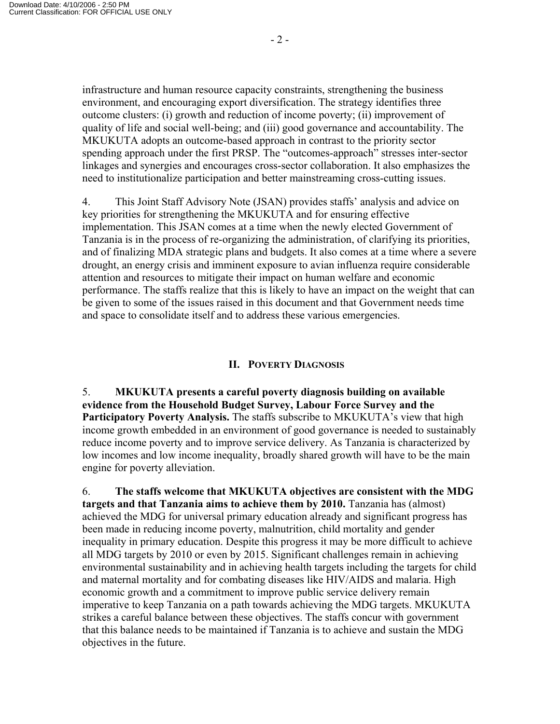infrastructure and human resource capacity constraints, strengthening the business environment, and encouraging export diversification. The strategy identifies three outcome clusters: (i) growth and reduction of income poverty; (ii) improvement of quality of life and social well-being; and (iii) good governance and accountability. The MKUKUTA adopts an outcome-based approach in contrast to the priority sector spending approach under the first PRSP. The "outcomes-approach" stresses inter-sector linkages and synergies and encourages cross-sector collaboration. It also emphasizes the need to institutionalize participation and better mainstreaming cross-cutting issues.

4. This Joint Staff Advisory Note (JSAN) provides staffs' analysis and advice on key priorities for strengthening the MKUKUTA and for ensuring effective implementation. This JSAN comes at a time when the newly elected Government of Tanzania is in the process of re-organizing the administration, of clarifying its priorities, and of finalizing MDA strategic plans and budgets. It also comes at a time where a severe drought, an energy crisis and imminent exposure to avian influenza require considerable attention and resources to mitigate their impact on human welfare and economic performance. The staffs realize that this is likely to have an impact on the weight that can be given to some of the issues raised in this document and that Government needs time and space to consolidate itself and to address these various emergencies.

#### **II. POVERTY DIAGNOSIS**

5. **MKUKUTA presents a careful poverty diagnosis building on available evidence from the Household Budget Survey, Labour Force Survey and the Participatory Poverty Analysis.** The staffs subscribe to MKUKUTA's view that high income growth embedded in an environment of good governance is needed to sustainably reduce income poverty and to improve service delivery. As Tanzania is characterized by low incomes and low income inequality, broadly shared growth will have to be the main engine for poverty alleviation.

6. **The staffs welcome that MKUKUTA objectives are consistent with the MDG targets and that Tanzania aims to achieve them by 2010.** Tanzania has (almost) achieved the MDG for universal primary education already and significant progress has been made in reducing income poverty, malnutrition, child mortality and gender inequality in primary education. Despite this progress it may be more difficult to achieve all MDG targets by 2010 or even by 2015. Significant challenges remain in achieving environmental sustainability and in achieving health targets including the targets for child and maternal mortality and for combating diseases like HIV/AIDS and malaria. High economic growth and a commitment to improve public service delivery remain imperative to keep Tanzania on a path towards achieving the MDG targets. MKUKUTA strikes a careful balance between these objectives. The staffs concur with government that this balance needs to be maintained if Tanzania is to achieve and sustain the MDG objectives in the future.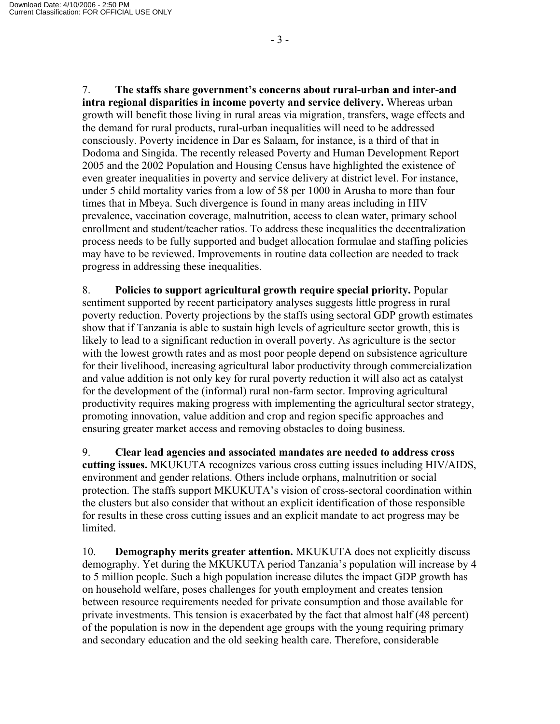7. **The staffs share government's concerns about rural-urban and inter-and intra regional disparities in income poverty and service delivery.** Whereas urban growth will benefit those living in rural areas via migration, transfers, wage effects and the demand for rural products, rural-urban inequalities will need to be addressed consciously. Poverty incidence in Dar es Salaam, for instance, is a third of that in Dodoma and Singida. The recently released Poverty and Human Development Report 2005 and the 2002 Population and Housing Census have highlighted the existence of even greater inequalities in poverty and service delivery at district level. For instance, under 5 child mortality varies from a low of 58 per 1000 in Arusha to more than four times that in Mbeya. Such divergence is found in many areas including in HIV prevalence, vaccination coverage, malnutrition, access to clean water, primary school enrollment and student/teacher ratios. To address these inequalities the decentralization process needs to be fully supported and budget allocation formulae and staffing policies may have to be reviewed. Improvements in routine data collection are needed to track progress in addressing these inequalities.

8. **Policies to support agricultural growth require special priority.** Popular sentiment supported by recent participatory analyses suggests little progress in rural poverty reduction. Poverty projections by the staffs using sectoral GDP growth estimates show that if Tanzania is able to sustain high levels of agriculture sector growth, this is likely to lead to a significant reduction in overall poverty. As agriculture is the sector with the lowest growth rates and as most poor people depend on subsistence agriculture for their livelihood, increasing agricultural labor productivity through commercialization and value addition is not only key for rural poverty reduction it will also act as catalyst for the development of the (informal) rural non-farm sector. Improving agricultural productivity requires making progress with implementing the agricultural sector strategy, promoting innovation, value addition and crop and region specific approaches and ensuring greater market access and removing obstacles to doing business.

9. **Clear lead agencies and associated mandates are needed to address cross cutting issues.** MKUKUTA recognizes various cross cutting issues including HIV/AIDS, environment and gender relations. Others include orphans, malnutrition or social protection. The staffs support MKUKUTA's vision of cross-sectoral coordination within the clusters but also consider that without an explicit identification of those responsible for results in these cross cutting issues and an explicit mandate to act progress may be limited.

10. **Demography merits greater attention.** MKUKUTA does not explicitly discuss demography. Yet during the MKUKUTA period Tanzania's population will increase by 4 to 5 million people. Such a high population increase dilutes the impact GDP growth has on household welfare, poses challenges for youth employment and creates tension between resource requirements needed for private consumption and those available for private investments. This tension is exacerbated by the fact that almost half (48 percent) of the population is now in the dependent age groups with the young requiring primary and secondary education and the old seeking health care. Therefore, considerable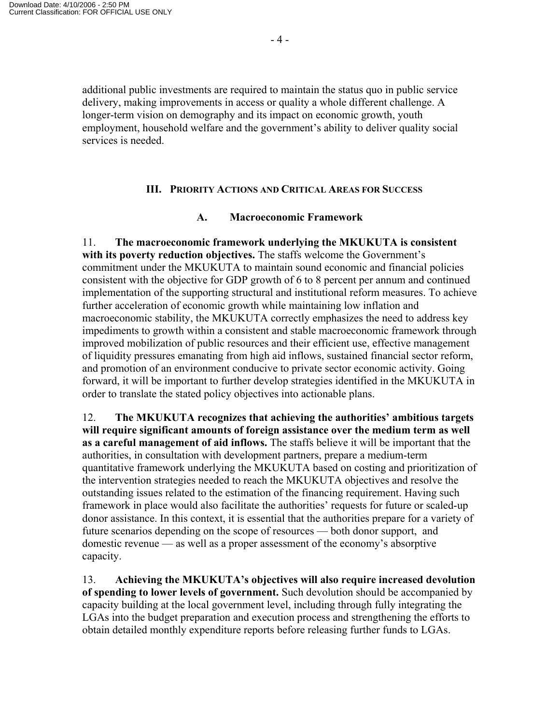additional public investments are required to maintain the status quo in public service delivery, making improvements in access or quality a whole different challenge. A longer-term vision on demography and its impact on economic growth, youth employment, household welfare and the government's ability to deliver quality social services is needed.

#### **III. PRIORITY ACTIONS AND CRITICAL AREAS FOR SUCCESS**

#### **A. Macroeconomic Framework**

11. **The macroeconomic framework underlying the MKUKUTA is consistent with its poverty reduction objectives.** The staffs welcome the Government's commitment under the MKUKUTA to maintain sound economic and financial policies consistent with the objective for GDP growth of 6 to 8 percent per annum and continued implementation of the supporting structural and institutional reform measures. To achieve further acceleration of economic growth while maintaining low inflation and macroeconomic stability, the MKUKUTA correctly emphasizes the need to address key impediments to growth within a consistent and stable macroeconomic framework through improved mobilization of public resources and their efficient use, effective management of liquidity pressures emanating from high aid inflows, sustained financial sector reform, and promotion of an environment conducive to private sector economic activity. Going forward, it will be important to further develop strategies identified in the MKUKUTA in order to translate the stated policy objectives into actionable plans.

12. **The MKUKUTA recognizes that achieving the authorities' ambitious targets will require significant amounts of foreign assistance over the medium term as well as a careful management of aid inflows.** The staffs believe it will be important that the authorities, in consultation with development partners, prepare a medium-term quantitative framework underlying the MKUKUTA based on costing and prioritization of the intervention strategies needed to reach the MKUKUTA objectives and resolve the outstanding issues related to the estimation of the financing requirement. Having such framework in place would also facilitate the authorities' requests for future or scaled-up donor assistance. In this context, it is essential that the authorities prepare for a variety of future scenarios depending on the scope of resources — both donor support, and domestic revenue — as well as a proper assessment of the economy's absorptive capacity.

13. **Achieving the MKUKUTA's objectives will also require increased devolution of spending to lower levels of government.** Such devolution should be accompanied by capacity building at the local government level, including through fully integrating the LGAs into the budget preparation and execution process and strengthening the efforts to obtain detailed monthly expenditure reports before releasing further funds to LGAs.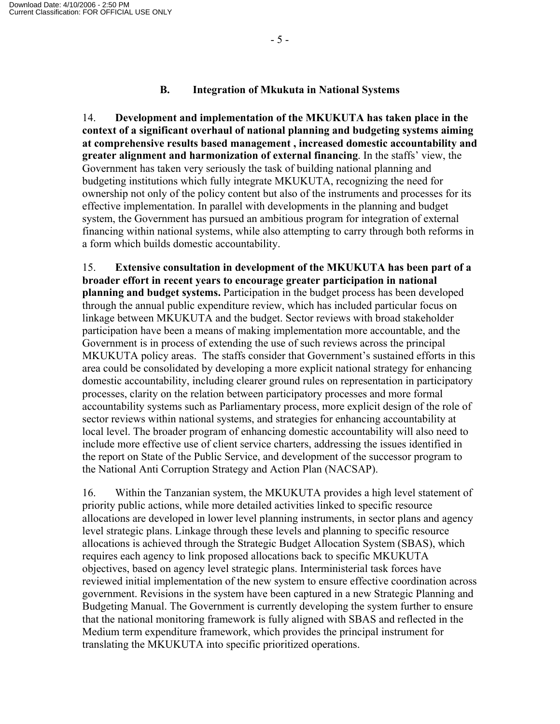## **B. Integration of Mkukuta in National Systems**

14. **Development and implementation of the MKUKUTA has taken place in the context of a significant overhaul of national planning and budgeting systems aiming at comprehensive results based management , increased domestic accountability and greater alignment and harmonization of external financing**. In the staffs' view, the Government has taken very seriously the task of building national planning and budgeting institutions which fully integrate MKUKUTA, recognizing the need for ownership not only of the policy content but also of the instruments and processes for its effective implementation. In parallel with developments in the planning and budget system, the Government has pursued an ambitious program for integration of external financing within national systems, while also attempting to carry through both reforms in a form which builds domestic accountability.

15. **Extensive consultation in development of the MKUKUTA has been part of a broader effort in recent years to encourage greater participation in national planning and budget systems.** Participation in the budget process has been developed through the annual public expenditure review, which has included particular focus on linkage between MKUKUTA and the budget. Sector reviews with broad stakeholder participation have been a means of making implementation more accountable, and the Government is in process of extending the use of such reviews across the principal MKUKUTA policy areas. The staffs consider that Government's sustained efforts in this area could be consolidated by developing a more explicit national strategy for enhancing domestic accountability, including clearer ground rules on representation in participatory processes, clarity on the relation between participatory processes and more formal accountability systems such as Parliamentary process, more explicit design of the role of sector reviews within national systems, and strategies for enhancing accountability at local level. The broader program of enhancing domestic accountability will also need to include more effective use of client service charters, addressing the issues identified in the report on State of the Public Service, and development of the successor program to the National Anti Corruption Strategy and Action Plan (NACSAP).

16. Within the Tanzanian system, the MKUKUTA provides a high level statement of priority public actions, while more detailed activities linked to specific resource allocations are developed in lower level planning instruments, in sector plans and agency level strategic plans. Linkage through these levels and planning to specific resource allocations is achieved through the Strategic Budget Allocation System (SBAS), which requires each agency to link proposed allocations back to specific MKUKUTA objectives, based on agency level strategic plans. Interministerial task forces have reviewed initial implementation of the new system to ensure effective coordination across government. Revisions in the system have been captured in a new Strategic Planning and Budgeting Manual. The Government is currently developing the system further to ensure that the national monitoring framework is fully aligned with SBAS and reflected in the Medium term expenditure framework, which provides the principal instrument for translating the MKUKUTA into specific prioritized operations.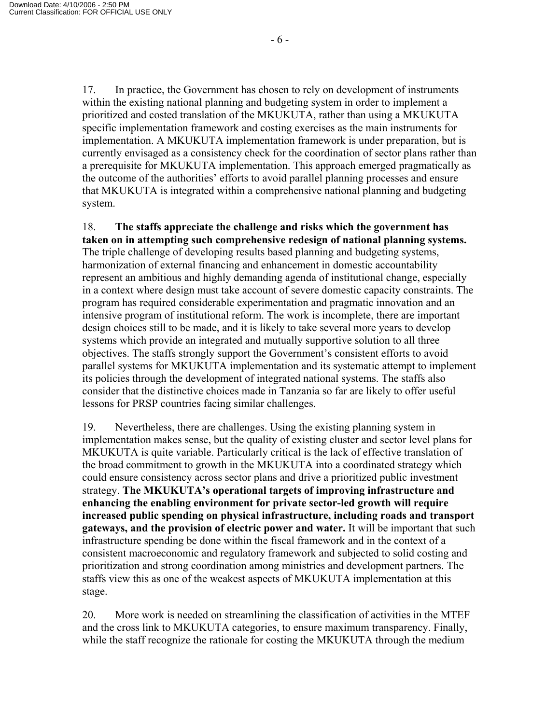17. In practice, the Government has chosen to rely on development of instruments within the existing national planning and budgeting system in order to implement a prioritized and costed translation of the MKUKUTA, rather than using a MKUKUTA specific implementation framework and costing exercises as the main instruments for

implementation. A MKUKUTA implementation framework is under preparation, but is currently envisaged as a consistency check for the coordination of sector plans rather than a prerequisite for MKUKUTA implementation. This approach emerged pragmatically as the outcome of the authorities' efforts to avoid parallel planning processes and ensure that MKUKUTA is integrated within a comprehensive national planning and budgeting system.

18. **The staffs appreciate the challenge and risks which the government has taken on in attempting such comprehensive redesign of national planning systems.** The triple challenge of developing results based planning and budgeting systems, harmonization of external financing and enhancement in domestic accountability represent an ambitious and highly demanding agenda of institutional change, especially in a context where design must take account of severe domestic capacity constraints. The program has required considerable experimentation and pragmatic innovation and an intensive program of institutional reform. The work is incomplete, there are important design choices still to be made, and it is likely to take several more years to develop systems which provide an integrated and mutually supportive solution to all three objectives. The staffs strongly support the Government's consistent efforts to avoid parallel systems for MKUKUTA implementation and its systematic attempt to implement its policies through the development of integrated national systems. The staffs also consider that the distinctive choices made in Tanzania so far are likely to offer useful lessons for PRSP countries facing similar challenges.

19. Nevertheless, there are challenges. Using the existing planning system in implementation makes sense, but the quality of existing cluster and sector level plans for MKUKUTA is quite variable. Particularly critical is the lack of effective translation of the broad commitment to growth in the MKUKUTA into a coordinated strategy which could ensure consistency across sector plans and drive a prioritized public investment strategy. **The MKUKUTA's operational targets of improving infrastructure and enhancing the enabling environment for private sector-led growth will require increased public spending on physical infrastructure, including roads and transport gateways, and the provision of electric power and water.** It will be important that such infrastructure spending be done within the fiscal framework and in the context of a consistent macroeconomic and regulatory framework and subjected to solid costing and prioritization and strong coordination among ministries and development partners. The staffs view this as one of the weakest aspects of MKUKUTA implementation at this stage.

20. More work is needed on streamlining the classification of activities in the MTEF and the cross link to MKUKUTA categories, to ensure maximum transparency. Finally, while the staff recognize the rationale for costing the MKUKUTA through the medium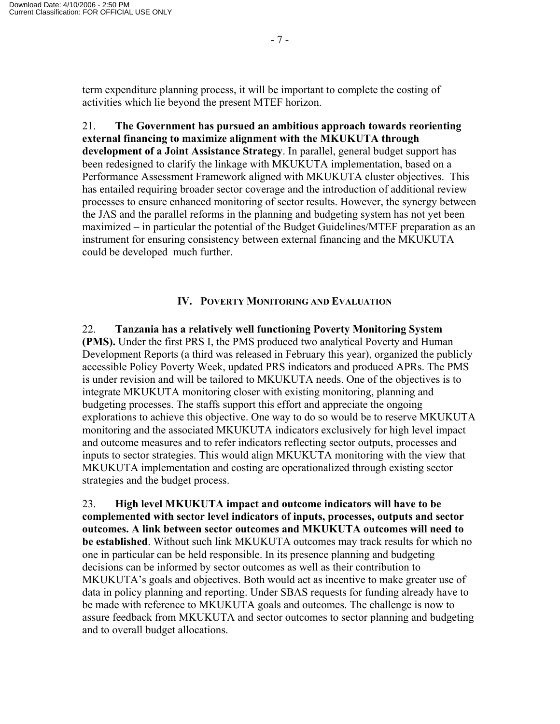term expenditure planning process, it will be important to complete the costing of activities which lie beyond the present MTEF horizon.

21. **The Government has pursued an ambitious approach towards reorienting external financing to maximize alignment with the MKUKUTA through development of a Joint Assistance Strategy**. In parallel, general budget support has been redesigned to clarify the linkage with MKUKUTA implementation, based on a Performance Assessment Framework aligned with MKUKUTA cluster objectives. This has entailed requiring broader sector coverage and the introduction of additional review processes to ensure enhanced monitoring of sector results. However, the synergy between the JAS and the parallel reforms in the planning and budgeting system has not yet been maximized – in particular the potential of the Budget Guidelines/MTEF preparation as an instrument for ensuring consistency between external financing and the MKUKUTA could be developed much further.

### **IV. POVERTY MONITORING AND EVALUATION**

22. **Tanzania has a relatively well functioning Poverty Monitoring System (PMS).** Under the first PRS I, the PMS produced two analytical Poverty and Human Development Reports (a third was released in February this year), organized the publicly accessible Policy Poverty Week, updated PRS indicators and produced APRs. The PMS is under revision and will be tailored to MKUKUTA needs. One of the objectives is to integrate MKUKUTA monitoring closer with existing monitoring, planning and budgeting processes. The staffs support this effort and appreciate the ongoing explorations to achieve this objective. One way to do so would be to reserve MKUKUTA monitoring and the associated MKUKUTA indicators exclusively for high level impact and outcome measures and to refer indicators reflecting sector outputs, processes and inputs to sector strategies. This would align MKUKUTA monitoring with the view that MKUKUTA implementation and costing are operationalized through existing sector strategies and the budget process.

23. **High level MKUKUTA impact and outcome indicators will have to be complemented with sector level indicators of inputs, processes, outputs and sector outcomes. A link between sector outcomes and MKUKUTA outcomes will need to be established**. Without such link MKUKUTA outcomes may track results for which no one in particular can be held responsible. In its presence planning and budgeting decisions can be informed by sector outcomes as well as their contribution to MKUKUTA's goals and objectives. Both would act as incentive to make greater use of data in policy planning and reporting. Under SBAS requests for funding already have to be made with reference to MKUKUTA goals and outcomes. The challenge is now to assure feedback from MKUKUTA and sector outcomes to sector planning and budgeting and to overall budget allocations.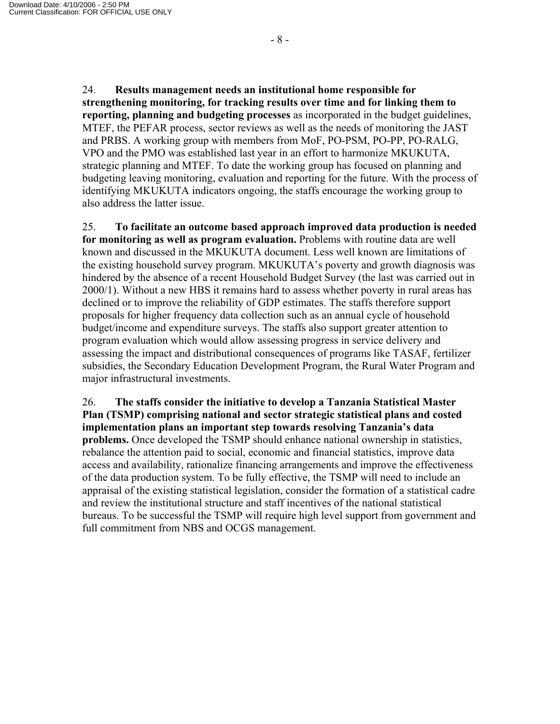24. **Results management needs an institutional home responsible for strengthening monitoring, for tracking results over time and for linking them to reporting, planning and budgeting processes** as incorporated in the budget guidelines, MTEF, the PEFAR process, sector reviews as well as the needs of monitoring the JAST and PRBS. A working group with members from MoF, PO-PSM, PO-PP, PO-RALG, VPO and the PMO was established last year in an effort to harmonize MKUKUTA, strategic planning and MTEF. To date the working group has focused on planning and budgeting leaving monitoring, evaluation and reporting for the future. With the process of identifying MKUKUTA indicators ongoing, the staffs encourage the working group to also address the latter issue.

25. **To facilitate an outcome based approach improved data production is needed for monitoring as well as program evaluation.** Problems with routine data are well known and discussed in the MKUKUTA document. Less well known are limitations of the existing household survey program. MKUKUTA's poverty and growth diagnosis was hindered by the absence of a recent Household Budget Survey (the last was carried out in 2000/1). Without a new HBS it remains hard to assess whether poverty in rural areas has declined or to improve the reliability of GDP estimates. The staffs therefore support proposals for higher frequency data collection such as an annual cycle of household budget/income and expenditure surveys. The staffs also support greater attention to program evaluation which would allow assessing progress in service delivery and assessing the impact and distributional consequences of programs like TASAF, fertilizer subsidies, the Secondary Education Development Program, the Rural Water Program and major infrastructural investments.

26. **The staffs consider the initiative to develop a Tanzania Statistical Master Plan (TSMP) comprising national and sector strategic statistical plans and costed implementation plans an important step towards resolving Tanzania's data problems.** Once developed the TSMP should enhance national ownership in statistics, rebalance the attention paid to social, economic and financial statistics, improve data access and availability, rationalize financing arrangements and improve the effectiveness of the data production system. To be fully effective, the TSMP will need to include an appraisal of the existing statistical legislation, consider the formation of a statistical cadre and review the institutional structure and staff incentives of the national statistical bureaus. To be successful the TSMP will require high level support from government and full commitment from NBS and OCGS management.